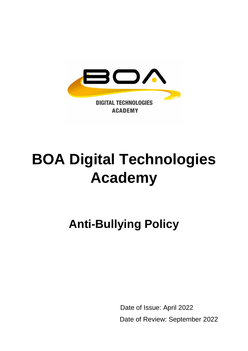

# **BOA Digital Technologies Academy**

**Anti-Bullying Policy**

 Date of Issue: April 2022 Date of Review: September 2022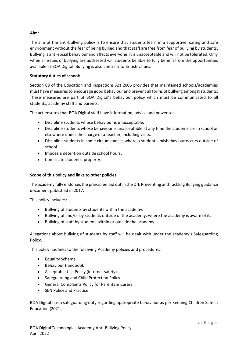# **Aim:**

The aim of the anti-bullying policy is to ensure that students learn in a supportive, caring and safe environment without the fear of being bullied and that staff are free from fear of bullying by students. Bullying is anti-social behaviour and affects everyone; it is unacceptable and will not be tolerated. Only when all issues of bullying are addressed will students be able to fully benefit from the opportunities available at BOA Digital. Bullying is also contrary to British values.

# **Statutory duties of school:**

Section 89 of the Education and Inspections Act 2006 provides that maintained schools/academies must have measures to encourage good behaviour and prevent all forms of bullying amongst students. These measures are part of BOA Digital's behaviour policy which must be communicated to all students, academy staff and parents.

The act ensures that BOA Digital staff have information, advice and power to:

- Discipline students whose behaviour is unacceptable.
- Discipline students whose behaviour is unacceptable at any time the students are in school or elsewhere under the charge of a teacher, including visits.
- Discipline students in some circumstances where a student's misbehaviour occurs outside of school.
- Impose a detention outside school hours.
- Confiscate students' property.

# **Scope of this policy and links to other policies**

The academy fully endorses the principles laid out in the DfE Preventing and Tackling Bullying guidance document published in 2017.

This policy includes:

- Bullying of students by students within the academy.
- Bullying of and/or by students outside of the academy, where the academy is aware of it.
- Bullying of staff by students within or outside the academy.

Allegations about bullying of students by staff will be dealt with under the academy's Safeguarding Policy.

This policy has links to the following Academy policies and procedures:

- Equality Scheme
- Behaviour Handbook
- Acceptable Use Policy (internet safety)
- Safeguarding and Child Protection Policy
- General Complaints Policy for Parents & Carers
- SEN Policy and Practice

BOA Digital has a safeguarding duty regarding appropriate behaviour as per Keeping Children Safe in Education (2021.)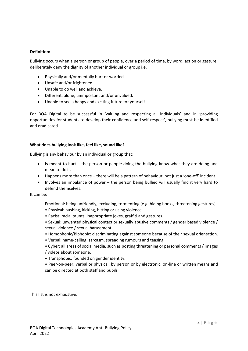## **Definition:**

Bullying occurs when a person or group of people, over a period of time, by word, action or gesture, deliberately deny the dignity of another individual or group i.e.

- Physically and/or mentally hurt or worried.
- Unsafe and/or frightened.
- Unable to do well and achieve.
- Different, alone, unimportant and/or unvalued.
- Unable to see a happy and exciting future for yourself.

For BOA Digital to be successful in 'valuing and respecting all individuals' and in 'providing opportunities for students to develop their confidence and self-respect', bullying must be identified and eradicated.

#### **What does bullying look like, feel like, sound like?**

Bullying is any behaviour by an individual or group that:

- Is meant to hurt the person or people doing the bullying know what they are doing and mean to do it.
- Happens more than once there will be a pattern of behaviour, not just a 'one-off' incident.
- Involves an imbalance of power the person being bullied will usually find it very hard to defend themselves.

It can be:

Emotional: being unfriendly, excluding, tormenting (e.g. hiding books, threatening gestures).

- Physical: pushing, kicking, hitting or using violence.
- Racist: racial taunts, inappropriate jokes, graffiti and gestures.
- Sexual: unwanted physical contact or sexually abusive comments / gender based violence / sexual violence / sexual harassment.
- Homophobic/Biphobic: discriminating against someone because of their sexual orientation.
- Verbal: name-calling, sarcasm, spreading rumours and teasing.
- Cyber: all areas of social media, such as posting threatening or personal comments / images / videos about someone.
- Transphobic: founded on gender identity.
- Peer-on-peer: verbal or physical, by person or by electronic, on-line or written means and can be directed at both staff and pupils

This list is not exhaustive.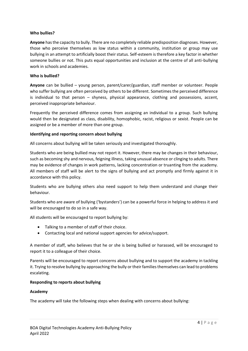## **Who bullies?**

**Anyone** has the capacity to bully. There are no completely reliable predisposition diagnoses. However, those who perceive themselves as low status within a community, institution or group may use bullying in an attempt to artificially boost their status. Self-esteem is therefore a key factor in whether someone bullies or not. This puts equal opportunities and inclusion at the centre of all anti-bullying work in schools and academies.

## **Who is bullied?**

**Anyone** can be bullied – young person, parent/carer/guardian, staff member or volunteer. People who suffer bullying are often perceived by others to be different. Sometimes the perceived difference is individual to that person – shyness, physical appearance, clothing and possessions, accent, perceived inappropriate behaviour.

Frequently the perceived difference comes from assigning an individual to a group. Such bullying would then be designated as class, disability, homophobic, racist, religious or sexist. People can be assigned or be a member of more than one group.

## **Identifying and reporting concern about bullying**

All concerns about bullying will be taken seriously and investigated thoroughly.

Students who are being bullied may not report it. However, there may be changes in their behaviour, such as becoming shy and nervous, feigning illness, taking unusual absence or clinging to adults. There may be evidence of changes in work patterns, lacking concentration or truanting from the academy. All members of staff will be alert to the signs of bullying and act promptly and firmly against it in accordance with this policy.

Students who are bullying others also need support to help them understand and change their behaviour.

Students who are aware of bullying ('bystanders') can be a powerful force in helping to address it and will be encouraged to do so in a safe way.

All students will be encouraged to report bullying by:

- Talking to a member of staff of their choice.
- Contacting local and national support agencies for advice/support.

A member of staff, who believes that he or she is being bullied or harassed, will be encouraged to report it to a colleague of their choice.

Parents will be encouraged to report concerns about bullying and to support the academy in tackling it. Trying to resolve bullying by approaching the bully or their families themselves can lead to problems escalating.

#### **Responding to reports about bullying**

#### **Academy**

The academy will take the following steps when dealing with concerns about bullying: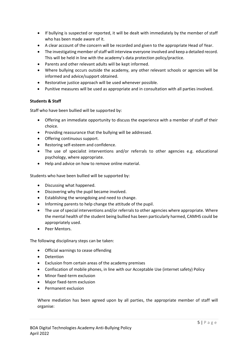- If bullying is suspected or reported, it will be dealt with immediately by the member of staff who has been made aware of it.
- A clear account of the concern will be recorded and given to the appropriate Head of Year.
- The investigating member of staff will interview everyone involved and keep a detailed record. This will be held in line with the academy's data protection policy/practice.
- Parents and other relevant adults will be kept informed.
- Where bullying occurs outside the academy, any other relevant schools or agencies will be informed and advice/support obtained.
- Restorative justice approach will be used whenever possible.
- Punitive measures will be used as appropriate and in consultation with all parties involved.

## **Students & Staff**

Staff who have been bullied will be supported by:

- Offering an immediate opportunity to discuss the experience with a member of staff of their choice.
- Providing reassurance that the bullying will be addressed.
- Offering continuous support.
- Restoring self-esteem and confidence.
- The use of specialist interventions and/or referrals to other agencies e.g. educational psychology, where appropriate.
- Help and advice on how to remove online material.

Students who have been bullied will be supported by:

- Discussing what happened.
- Discovering why the pupil became involved.
- Establishing the wrongdoing and need to change.
- Informing parents to help change the attitude of the pupil.
- The use of special interventions and/or referrals to other agencies where appropriate. Where the mental health of the student being bullied has been particularly harmed, CAMHS could be appropriately used.
- Peer Mentors.

The following disciplinary steps can be taken:

- Official warnings to cease offending
- Detention
- Exclusion from certain areas of the academy premises
- Confiscation of mobile phones, in line with our Acceptable Use (internet safety) Policy
- Minor fixed-term exclusion
- Major fixed-term exclusion
- Permanent exclusion

Where mediation has been agreed upon by all parties, the appropriate member of staff will organise: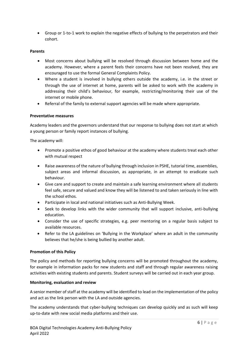• Group or 1-to-1 work to explain the negative effects of bullying to the perpetrators and their cohort.

# **Parents**

- Most concerns about bullying will be resolved through discussion between home and the academy. However, where a parent feels their concerns have not been resolved, they are encouraged to use the formal General Complaints Policy.
- Where a student is involved in bullying others outside the academy, i.e. in the street or through the use of internet at home, parents will be asked to work with the academy in addressing their child's behaviour, for example, restricting/monitoring their use of the internet or mobile phone.
- Referral of the family to external support agencies will be made where appropriate.

## **Preventative measures**

Academy leaders and the governors understand that our response to bullying does not start at which a young person or family report instances of bullying.

The academy will:

- Promote a positive ethos of good behaviour at the academy where students treat each other with mutual respect
- Raise awareness of the nature of bullying through inclusion in PSHE, tutorial time, assemblies, subject areas and informal discussion, as appropriate, in an attempt to eradicate such behaviour.
- Give care and support to create and maintain a safe learning environment where all students feel safe, secure and valued and know they will be listened to and taken seriously in line with the school ethos.
- Participate in local and national initiatives such as Anti-Bullying Week.
- Seek to develop links with the wider community that will support inclusive, anti-bullying education.
- Consider the use of specific strategies, e.g. peer mentoring on a regular basis subject to available resources.
- Refer to the LA guidelines on 'Bullying in the Workplace' where an adult in the community believes that he/she is being bullied by another adult.

#### **Promotion of this Policy**

The policy and methods for reporting bullying concerns will be promoted throughout the academy, for example in information packs for new students and staff and through regular awareness raising activities with existing students and parents. Student surveys will be carried out in each year group.

#### **Monitoring, evaluation and review**

A senior member of staff at the academy will be identified to lead on the implementation of the policy and act as the link person with the LA and outside agencies.

The academy understands that cyber-bullying techniques can develop quickly and as such will keep up-to-date with new social media platforms and their use.